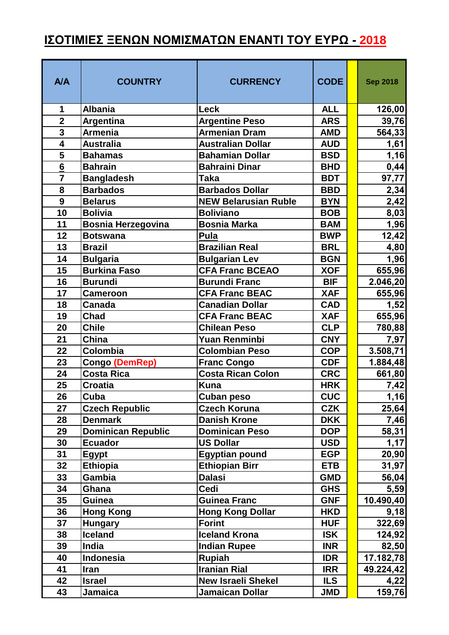## **ΙΣΟΤΙΜΙΕΣ ΞΕΝΩΝ ΝΟΜΙΣΜΑΤΩΝ ΕΝΑΝΤΙ ΤΟΥ ΕΥΡΩ - 2018**

| <b>A/A</b>     | <b>COUNTRY</b>            | <b>CURRENCY</b>             | <b>CODE</b> | <b>Sep 2018</b> |
|----------------|---------------------------|-----------------------------|-------------|-----------------|
| 1              | <b>Albania</b>            | Leck                        | <b>ALL</b>  | 126,00          |
| $\overline{2}$ | <b>Argentina</b>          | <b>Argentine Peso</b>       | <b>ARS</b>  | 39,76           |
| $\overline{3}$ | <b>Armenia</b>            | <b>Armenian Dram</b>        | <b>AMD</b>  | 564,33          |
| $\overline{4}$ | <b>Australia</b>          | <b>Australian Dollar</b>    | <b>AUD</b>  | 1,61            |
| 5              | <b>Bahamas</b>            | <b>Bahamian Dollar</b>      | <b>BSD</b>  | 1,16            |
| 6              | <b>Bahrain</b>            | <b>Bahraini Dinar</b>       | <b>BHD</b>  | 0,44            |
| $\overline{7}$ | <b>Bangladesh</b>         | <b>Taka</b>                 | <b>BDT</b>  | 97,77           |
| 8              | <b>Barbados</b>           | <b>Barbados Dollar</b>      | <b>BBD</b>  | 2,34            |
| 9              | <b>Belarus</b>            | <b>NEW Belarusian Ruble</b> | <b>BYN</b>  | 2,42            |
| 10             | <b>Bolivia</b>            | <b>Boliviano</b>            | <b>BOB</b>  | 8,03            |
| 11             | <b>Bosnia Herzegovina</b> | <b>Bosnia Marka</b>         | <b>BAM</b>  | 1,96            |
| 12             | <b>Botswana</b>           | Pula                        | <b>BWP</b>  | 12,42           |
| 13             | <b>Brazil</b>             | <b>Brazilian Real</b>       | <b>BRL</b>  | 4,80            |
| 14             | <b>Bulgaria</b>           | <b>Bulgarian Lev</b>        | <b>BGN</b>  | 1,96            |
| 15             | <b>Burkina Faso</b>       | <b>CFA Franc BCEAO</b>      | <b>XOF</b>  | 655,96          |
| 16             | <b>Burundi</b>            | <b>Burundi Franc</b>        | <b>BIF</b>  | 2.046,20        |
| 17             | <b>Cameroon</b>           | <b>CFA Franc BEAC</b>       | <b>XAF</b>  | 655,96          |
| 18             | <b>Canada</b>             | <b>Canadian Dollar</b>      | <b>CAD</b>  | 1,52            |
| 19             | <b>Chad</b>               | <b>CFA Franc BEAC</b>       | <b>XAF</b>  | 655,96          |
| 20             | <b>Chile</b>              | <b>Chilean Peso</b>         | <b>CLP</b>  | 780,88          |
| 21             | China                     | <b>Yuan Renminbi</b>        | <b>CNY</b>  | 7,97            |
| 22             | Colombia                  | <b>Colombian Peso</b>       | <b>COP</b>  | 3.508,71        |
| 23             | Congo (DemRep)            | <b>Franc Congo</b>          | <b>CDF</b>  | 1.884,48        |
| 24             | <b>Costa Rica</b>         | Costa Rican Colon           | <b>CRC</b>  | 661,80          |
| 25             | <b>Croatia</b>            | <b>Kuna</b>                 | <b>HRK</b>  | 7,42            |
| 26             | Cuba                      | Cuban peso                  | <b>CUC</b>  | 1,16            |
| 27             | <b>Czech Republic</b>     | <b>Czech Koruna</b>         | <b>CZK</b>  | 25,64           |
| 28             | <b>Denmark</b>            | <b>Danish Krone</b>         | <b>DKK</b>  | 7,46            |
| 29             | <b>Dominican Republic</b> | <b>Dominican Peso</b>       | <b>DOP</b>  | 58,31           |
| 30             | <b>Ecuador</b>            | <b>US Dollar</b>            | <b>USD</b>  | 1,17            |
| 31             | <b>Egypt</b>              | <b>Egyptian pound</b>       | <b>EGP</b>  | 20,90           |
| 32             | <b>Ethiopia</b>           | <b>Ethiopian Birr</b>       | <b>ETB</b>  | 31,97           |
| 33             | <b>Gambia</b>             | <b>Dalasi</b>               | <b>GMD</b>  | 56,04           |
| 34             | Ghana                     | Cedi                        | <b>GHS</b>  | 5,59            |
| 35             | <b>Guinea</b>             | <b>Guinea Franc</b>         | <b>GNF</b>  | 10.490,40       |
| 36             | <b>Hong Kong</b>          | <b>Hong Kong Dollar</b>     | <b>HKD</b>  | 9,18            |
| 37             | <b>Hungary</b>            | <b>Forint</b>               | <b>HUF</b>  | 322,69          |
| 38             | <b>Iceland</b>            | <b>Iceland Krona</b>        | <b>ISK</b>  | 124,92          |
| 39             | India                     | <b>Indian Rupee</b>         | <b>INR</b>  | 82,50           |
| 40             | Indonesia                 | Rupiah                      | <b>IDR</b>  | 17.182,78       |
| 41             | <b>Iran</b>               | <b>Iranian Rial</b>         | <b>IRR</b>  | 49.224,42       |
| 42             | <b>Israel</b>             | <b>New Israeli Shekel</b>   | <b>ILS</b>  | 4,22            |
| 43             | <b>Jamaica</b>            | Jamaican Dollar             | <b>JMD</b>  | 159,76          |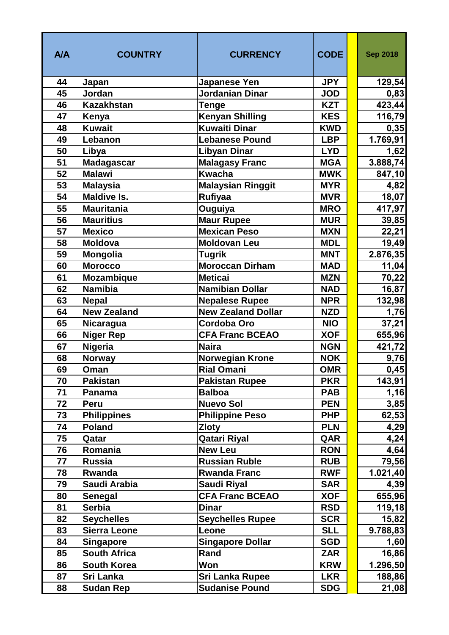| <b>A/A</b> | <b>COUNTRY</b>                          | <b>CURRENCY</b>                              | <b>CODE</b>              | <b>Sep 2018</b>   |
|------------|-----------------------------------------|----------------------------------------------|--------------------------|-------------------|
| 44         | Japan                                   | <b>Japanese Yen</b>                          | <b>JPY</b>               | 129,54            |
| 45         | Jordan                                  | <b>Jordanian Dinar</b>                       | <b>JOD</b>               | 0,83              |
| 46         | <b>Kazakhstan</b>                       | <b>Tenge</b>                                 | <b>KZT</b>               | 423,44            |
| 47         | Kenya                                   | <b>Kenyan Shilling</b>                       | <b>KES</b>               | 116,79            |
| 48         | <b>Kuwait</b>                           | <b>Kuwaiti Dinar</b>                         | <b>KWD</b>               | 0,35              |
| 49         | Lebanon                                 | <b>Lebanese Pound</b>                        | <b>LBP</b>               | 1.769,91          |
| 50         | Libya                                   | <b>Libyan Dinar</b>                          | <b>LYD</b>               | 1,62              |
| 51         | <b>Madagascar</b>                       | <b>Malagasy Franc</b>                        | <b>MGA</b>               | 3.888,74          |
| 52         | <b>Malawi</b>                           | <b>Kwacha</b>                                | <b>MWK</b>               | 847,10            |
| 53         | <b>Malaysia</b>                         | <b>Malaysian Ringgit</b>                     | <b>MYR</b>               | 4,82              |
| 54         | <b>Maldive Is.</b>                      | Rufiyaa                                      | <b>MVR</b>               | 18,07             |
| 55         | <b>Mauritania</b>                       | Ouguiya                                      | <b>MRO</b>               | 417,97            |
| 56         | <b>Mauritius</b>                        | <b>Maur Rupee</b>                            | <b>MUR</b>               | 39,85             |
| 57         | <b>Mexico</b>                           | <b>Mexican Peso</b>                          | <b>MXN</b>               | 22,21             |
| 58         | <b>Moldova</b>                          | <b>Moldovan Leu</b>                          | <b>MDL</b>               | 19,49             |
| 59         | <b>Mongolia</b>                         | <b>Tugrik</b>                                | <b>MNT</b>               | 2.876,35          |
| 60         | <b>Morocco</b>                          | <b>Moroccan Dirham</b>                       | <b>MAD</b>               | 11,04             |
| 61         | <b>Mozambique</b>                       | <b>Meticai</b>                               | <b>MZN</b>               | 70,22             |
| 62         | <b>Namibia</b>                          | Namibian Dollar                              | <b>NAD</b>               | 16,87             |
| 63         | <b>Nepal</b>                            | <b>Nepalese Rupee</b>                        | <b>NPR</b>               | 132,98            |
| 64         | <b>New Zealand</b>                      | <b>New Zealand Dollar</b>                    | <b>NZD</b>               | 1,76              |
| 65         | <b>Nicaragua</b>                        | <b>Cordoba Oro</b>                           | <b>NIO</b>               | 37,21             |
| 66         | <b>Niger Rep</b>                        | <b>CFA Franc BCEAO</b>                       | <b>XOF</b>               | 655,96            |
| 67         | <b>Nigeria</b>                          | <b>Naira</b>                                 | <b>NGN</b>               | 421,72            |
| 68         | <b>Norway</b>                           | <b>Norwegian Krone</b>                       | <b>NOK</b>               | 9,76              |
| 69         | Oman                                    | <b>Rial Omani</b>                            | <b>OMR</b>               | 0,45              |
| 70         | <b>Pakistan</b>                         | <b>Pakistan Rupee</b>                        | <b>PKR</b>               | 143,91            |
| 71         | Panama                                  | <b>Balboa</b>                                | <b>PAB</b>               | 1,16              |
| 72         | Peru                                    | <b>Nuevo Sol</b>                             | <b>PEN</b>               | 3,85              |
| 73         | Philippines                             | <b>Philippine Peso</b>                       | <b>PHP</b>               | 62,53             |
| 74         | <b>Poland</b>                           | <b>Zloty</b>                                 | <b>PLN</b>               | 4,29              |
| 75         | Qatar                                   | <b>Qatari Riyal</b>                          | QAR                      | 4,24              |
| 76<br>77   | Romania<br><b>Russia</b>                | <b>New Leu</b><br><b>Russian Ruble</b>       | <b>RON</b><br><b>RUB</b> | 4,64              |
| 78         | Rwanda                                  | <b>Rwanda Franc</b>                          | <b>RWF</b>               | 79,56             |
| 79         | Saudi Arabia                            |                                              | <b>SAR</b>               | 1.021,40          |
| 80         | Senegal                                 | <b>Saudi Riyal</b><br><b>CFA Franc BCEAO</b> | <b>XOF</b>               | 4,39              |
| 81         | <b>Serbia</b>                           | <b>Dinar</b>                                 | <b>RSD</b>               | 655,96<br>119,18  |
| 82         | <b>Seychelles</b>                       | <b>Seychelles Rupee</b>                      | <b>SCR</b>               |                   |
| 83         | Sierra Leone                            | Leone                                        | <b>SLL</b>               | 15,82<br>9.788,83 |
| 84         |                                         | <b>Singapore Dollar</b>                      | <b>SGD</b>               | 1,60              |
| 85         | <b>Singapore</b><br><b>South Africa</b> | Rand                                         | <b>ZAR</b>               | 16,86             |
| 86         | <b>South Korea</b>                      | Won                                          | <b>KRW</b>               | 1.296,50          |
| 87         | Sri Lanka                               | <b>Sri Lanka Rupee</b>                       | <b>LKR</b>               | 188,86            |
| 88         | <b>Sudan Rep</b>                        | <b>Sudanise Pound</b>                        | <b>SDG</b>               | 21,08             |
|            |                                         |                                              |                          |                   |